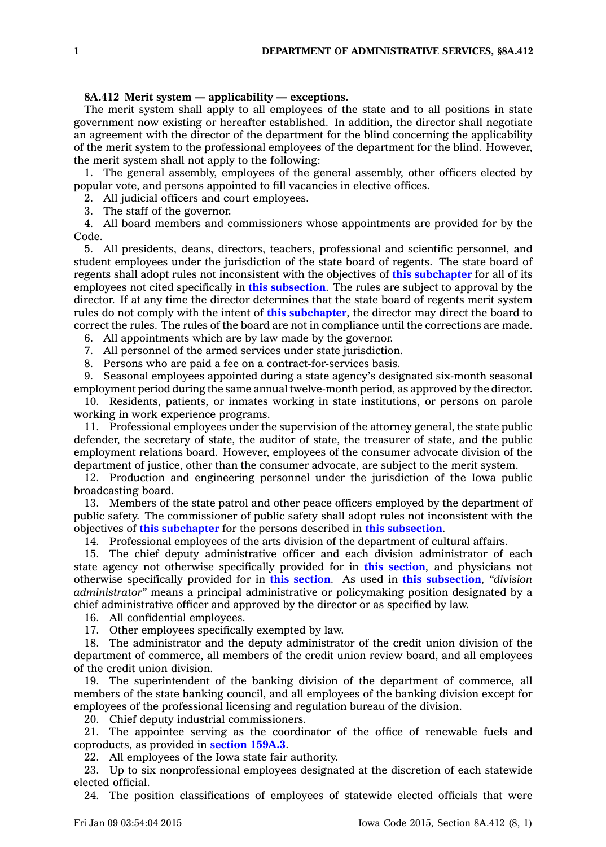## **8A.412 Merit system — applicability — exceptions.**

The merit system shall apply to all employees of the state and to all positions in state government now existing or hereafter established. In addition, the director shall negotiate an agreement with the director of the department for the blind concerning the applicability of the merit system to the professional employees of the department for the blind. However, the merit system shall not apply to the following:

1. The general assembly, employees of the general assembly, other officers elected by popular vote, and persons appointed to fill vacancies in elective offices.

2. All judicial officers and court employees.

3. The staff of the governor.

4. All board members and commissioners whose appointments are provided for by the Code.

5. All presidents, deans, directors, teachers, professional and scientific personnel, and student employees under the jurisdiction of the state board of regents. The state board of regents shall adopt rules not inconsistent with the objectives of **this [subchapter](https://www.legis.iowa.gov/docs/code/8A.pdf)** for all of its employees not cited specifically in **this [subsection](https://www.legis.iowa.gov/docs/code/8A.412.pdf)**. The rules are subject to approval by the director. If at any time the director determines that the state board of regents merit system rules do not comply with the intent of **this [subchapter](https://www.legis.iowa.gov/docs/code/8A.pdf)**, the director may direct the board to correct the rules. The rules of the board are not in compliance until the corrections are made.

6. All appointments which are by law made by the governor.

7. All personnel of the armed services under state jurisdiction.

8. Persons who are paid <sup>a</sup> fee on <sup>a</sup> contract-for-services basis.

9. Seasonal employees appointed during <sup>a</sup> state agency's designated six-month seasonal employment period during the same annual twelve-month period, as approved by the director.

10. Residents, patients, or inmates working in state institutions, or persons on parole working in work experience programs.

11. Professional employees under the supervision of the attorney general, the state public defender, the secretary of state, the auditor of state, the treasurer of state, and the public employment relations board. However, employees of the consumer advocate division of the department of justice, other than the consumer advocate, are subject to the merit system.

12. Production and engineering personnel under the jurisdiction of the Iowa public broadcasting board.

13. Members of the state patrol and other peace officers employed by the department of public safety. The commissioner of public safety shall adopt rules not inconsistent with the objectives of **this [subchapter](https://www.legis.iowa.gov/docs/code/8A.pdf)** for the persons described in **this [subsection](https://www.legis.iowa.gov/docs/code/8A.412.pdf)**.

14. Professional employees of the arts division of the department of cultural affairs.

15. The chief deputy administrative officer and each division administrator of each state agency not otherwise specifically provided for in **this [section](https://www.legis.iowa.gov/docs/code/8A.412.pdf)**, and physicians not otherwise specifically provided for in **this [section](https://www.legis.iowa.gov/docs/code/8A.412.pdf)**. As used in **this [subsection](https://www.legis.iowa.gov/docs/code/8A.412.pdf)**, *"division administrator"* means <sup>a</sup> principal administrative or policymaking position designated by <sup>a</sup> chief administrative officer and approved by the director or as specified by law.

16. All confidential employees.

17. Other employees specifically exempted by law.

18. The administrator and the deputy administrator of the credit union division of the department of commerce, all members of the credit union review board, and all employees of the credit union division.

19. The superintendent of the banking division of the department of commerce, all members of the state banking council, and all employees of the banking division except for employees of the professional licensing and regulation bureau of the division.

20. Chief deputy industrial commissioners.

21. The appointee serving as the coordinator of the office of renewable fuels and coproducts, as provided in **[section](https://www.legis.iowa.gov/docs/code/159A.3.pdf) 159A.3**.

22. All employees of the Iowa state fair authority.

23. Up to six nonprofessional employees designated at the discretion of each statewide elected official.

24. The position classifications of employees of statewide elected officials that were